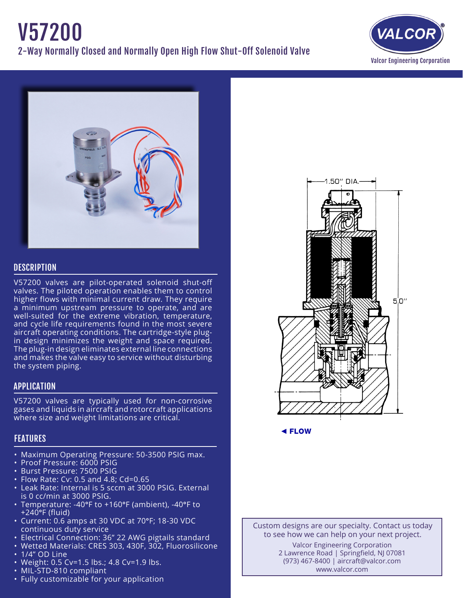



## **DESCRIPTION**

V57200 valves are pilot-operated solenoid shut-off valves. The piloted operation enables them to control higher flows with minimal current draw. They require a minimum upstream pressure to operate, and are well-suited for the extreme vibration, temperature, and cycle life requirements found in the most severe aircraft operating conditions. The cartridge-style plugin design minimizes the weight and space required. The plug-in design eliminates external line connections and makes the valve easy to service without disturbing the system piping.

# APPLICATION

V57200 valves are typically used for non-corrosive gases and liquids in aircraft and rotorcraft applications where size and weight limitations are critical.

# FEATURES

- Maximum Operating Pressure: 50-3500 PSIG max.
- Proof Pressure: 6000 PSIG
- • Burst Pressure: 7500 PSIG
- Flow Rate: Cv: 0.5 and 4.8; Cd=0.65
- Leak Rate: Internal is 5 sccm at 3000 PSIG. External is 0 cc/min at 3000 PSIG.
- • Temperature: -40°F to +160°F (ambient), -40°F to +240°F (fluid)
- • Current: 0.6 amps at 30 VDC at 70°F; 18-30 VDC continuous duty service
- Electrical Connection: 36" 22 AWG pigtails standard
- Wetted Materials: CRES 303, 430F, 302, Fluorosilicone
- 1/4" OD Line
- Weight: 0.5 Cv=1.5 lbs.; 4.8 Cv=1.9 lbs.
- MIL-STD-810 compliant
- Fully customizable for your application



◄ FLOW

Custom designs are our specialty. Contact us today to see how we can help on your next project. Valcor Engineering Corporation 2 Lawrence Road | Springfield, NJ 07081 (973) 467-8400 | aircraft@valcor.com www.valcor.com